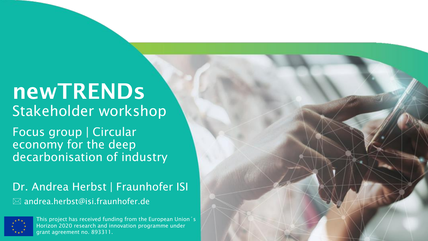# newTRENDs Stakeholder workshop

Focus group | Circular economy for the deep decarbonisation of industry

Dr. Andrea Herbst | Fraunhofer ISI  $\boxtimes$  andrea.herbst@isi.fraunhofer.de



This project has received funding from the European Union´s Horizon 2020 research and innovation programme under grant agreement no. 893311.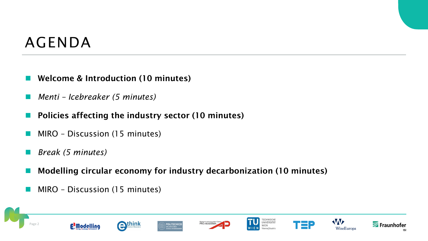## AGENDA

- Welcome & Introduction (10 minutes)
- ◼ *Menti – Icebreaker (5 minutes)*
- Policies affecting the industry sector (10 minutes)
- MIRO Discussion (15 minutes)
- ◼ *Break (5 minutes)*
- Modelling circular economy for industry decarbonization (10 minutes)
- MIRO Discussion (15 minutes)

















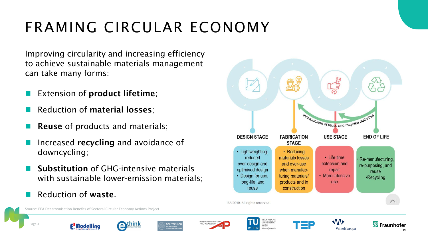# FRAMING CIRCULAR ECONOMY

Improving circularity and increasing efficiency to achieve sustainable materials management can take many forms:

- Extension of **product lifetime**;
- Reduction of material losses;
- **Reuse** of products and materials;
- Increased recycling and avoidance of downcycling;
- **Substitution of GHG-intensive materials** with sustainable lower-emission materials;
- Reduction of waste.

Page 3





















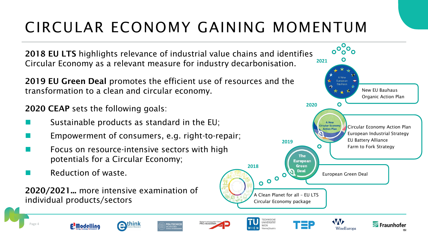# CIRCULAR ECONOMY GAINING MOMENTUM

PRO-AKADEMIA

**OLITECNICO** 

2018 EU LTS highlights relevance of industrial value chains and identifies Circular Economy as a relevant measure for industry decarbonisation.

2019 EU Green Deal promotes the efficient use of resources and the transformation to a clean and circular economy.

2020 CEAP sets the following goals:

- Sustainable products as standard in the EU;
- Empowerment of consumers, e.g. right-to-repair;

think

- Focus on resource-intensive sectors with high potentials for a Circular Economy;
- Reduction of waste.

**E** Modelling

Page 4

2020/2021... more intensive examination of individual products/sectors

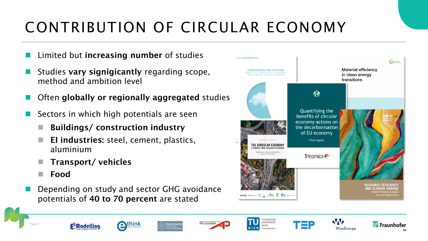# CONTRIBUTION OF CIRCULAR ECONOMY

- Limited but increasing number of studies
- Studies vary signigicantly regarding scope, method and ambition level
- Often globally or regionally aggregated studies
- Sectors in which high potentials are seen
	- Buildings/ construction industry
	- EI industries: steel, cement, plastics, aluminium
	- ◼ Transport/ vehicles
	- ◼ Food
- Depending on study and sector GHG avoidance potentials of 40 to 70 percent are stated



















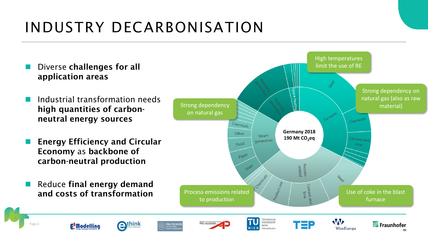## INDUSTRY DECARBONISATION

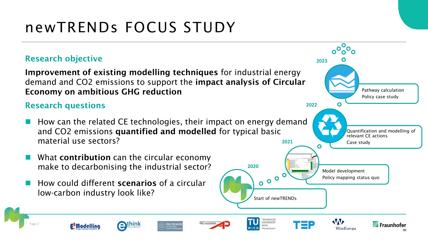## newTRENDs FOCUS STUDY

#### Research objective

Improvement of existing modelling techniques for industrial energy demand and CO2 emissions to support the impact analysis of Circular Economy on ambitious GHG reduction

#### Research questions

Page 7

How can the related CE technologies, their impact on energy demand and CO2 emissions quantified and modelled for typical basic material use sectors? **2021**

**OLITECNICO** 

PRO-AKADEMIA

- What **contribution** can the circular economy make to decarbonising the industrial sector?
- How could different scenarios of a circular low-carbon industry look like?

**E'Modelling** 

think

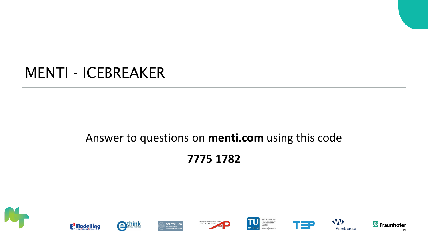### MENTI - ICEBREAKER

### Answer to questions on **menti.com** using this code **7775 1782**